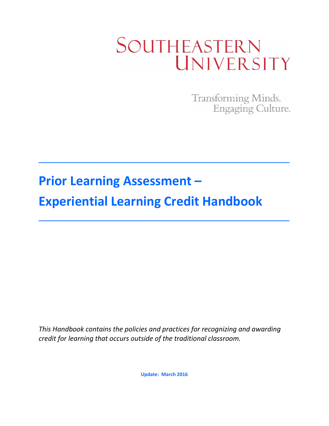# SOUTHEASTERN UNIVERSITY

Transforming Minds. Engaging Culture.

# **Prior Learning Assessment –**

**Experiential Learning Credit Handbook** 

**\_\_\_\_\_\_\_\_\_\_\_\_\_\_\_\_\_\_\_\_\_\_\_\_\_\_\_\_\_\_\_\_\_\_\_\_\_\_\_\_\_\_\_\_\_\_\_\_\_\_\_\_\_\_\_\_\_\_\_\_\_\_\_\_\_\_\_**

**\_\_\_\_\_\_\_\_\_\_\_\_\_\_\_\_\_\_\_\_\_\_\_\_\_\_\_\_\_\_\_\_\_\_\_\_\_\_\_\_\_\_\_\_\_\_\_\_\_\_\_\_\_\_\_\_\_\_\_\_\_\_\_\_\_\_\_**

*This Handbook contains the policies and practices for recognizing and awarding credit for learning that occurs outside of the traditional classroom.* 

**Update: March 2016**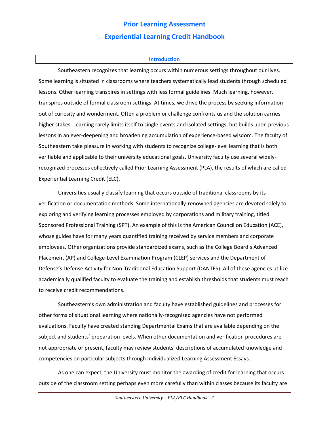# **Prior Learning Assessment Experiential Learning Credit Handbook**

#### **Introduction**

Southeastern recognizes that learning occurs within numerous settings throughout our lives. Some learning is situated in classrooms where teachers systematically lead students through scheduled lessons. Other learning transpires in settings with less formal guidelines. Much learning, however, transpires outside of formal classroom settings. At times, we drive the process by seeking information out of curiosity and wonderment. Often a problem or challenge confronts us and the solution carries higher stakes. Learning rarely limits itself to single events and isolated settings, but builds upon previous lessons in an ever-deepening and broadening accumulation of experience-based wisdom. The faculty of Southeastern take pleasure in working with students to recognize college-level learning that is both verifiable and applicable to their university educational goals. University faculty use several widelyrecognized processes collectively called Prior Learning Assessment (PLA), the results of which are called Experiential Learning Credit (ELC).

Universities usually classify learning that occurs outside of traditional classrooms by its verification or documentation methods. Some internationally-renowned agencies are devoted solely to exploring and verifying learning processes employed by corporations and military training, titled Sponsored Professional Training (SPT). An example of this is the American Council on Education (ACE), whose guides have for many years quantified training received by service members and corporate employees. Other organizations provide standardized exams, such as the College Board's Advanced Placement (AP) and College-Level Examination Program (CLEP) services and the Department of Defense's Defense Activity for Non-Traditional Education Support (DANTES). All of these agencies utilize academically qualified faculty to evaluate the training and establish thresholds that students must reach to receive credit recommendations.

Southeastern's own administration and faculty have established guidelines and processes for other forms of situational learning where nationally-recognized agencies have not performed evaluations. Faculty have created standing Departmental Exams that are available depending on the subject and students' preparation levels. When other documentation and verification procedures are not appropriate or present, faculty may review students' descriptions of accumulated knowledge and competencies on particular subjects through Individualized Learning Assessment Essays.

As one can expect, the University must monitor the awarding of credit for learning that occurs outside of the classroom setting perhaps even more carefully than within classes because its faculty are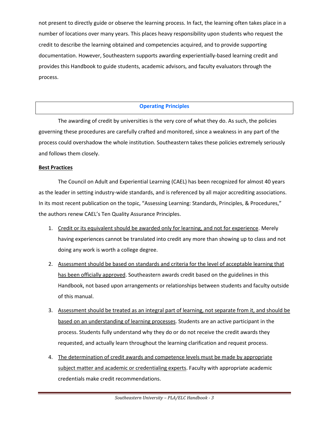not present to directly guide or observe the learning process. In fact, the learning often takes place in a number of locations over many years. This places heavy responsibility upon students who request the credit to describe the learning obtained and competencies acquired, and to provide supporting documentation. However, Southeastern supports awarding experientially-based learning credit and provides this Handbook to guide students, academic advisors, and faculty evaluators through the process.

#### **Operating Principles**

The awarding of credit by universities is the very core of what they do. As such, the policies governing these procedures are carefully crafted and monitored, since a weakness in any part of the process could overshadow the whole institution. Southeastern takes these policies extremely seriously and follows them closely.

#### **Best Practices**

The Council on Adult and Experiential Learning (CAEL) has been recognized for almost 40 years as the leader in setting industry-wide standards, and is referenced by all major accrediting associations. In its most recent publication on the topic, "Assessing Learning: Standards, Principles, & Procedures," the authors renew CAEL's Ten Quality Assurance Principles.

- 1. Credit or its equivalent should be awarded only for learning, and not for experience. Merely having experiences cannot be translated into credit any more than showing up to class and not doing any work is worth a college degree.
- 2. Assessment should be based on standards and criteria for the level of acceptable learning that has been officially approved. Southeastern awards credit based on the guidelines in this Handbook, not based upon arrangements or relationships between students and faculty outside of this manual.
- 3. Assessment should be treated as an integral part of learning, not separate from it, and should be based on an understanding of learning processes. Students are an active participant in the process. Students fully understand why they do or do not receive the credit awards they requested, and actually learn throughout the learning clarification and request process.
- 4. The determination of credit awards and competence levels must be made by appropriate subject matter and academic or credentialing experts. Faculty with appropriate academic credentials make credit recommendations.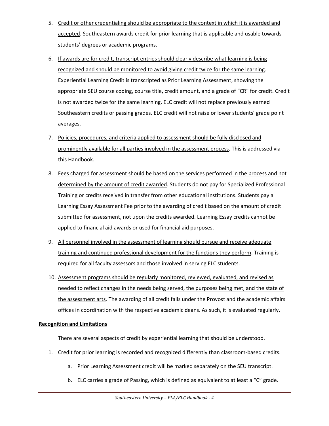- 5. Credit or other credentialing should be appropriate to the context in which it is awarded and accepted. Southeastern awards credit for prior learning that is applicable and usable towards students' degrees or academic programs.
- 6. If awards are for credit, transcript entries should clearly describe what learning is being recognized and should be monitored to avoid giving credit twice for the same learning. Experiential Learning Credit is transcripted as Prior Learning Assessment, showing the appropriate SEU course coding, course title, credit amount, and a grade of "CR" for credit. Credit is not awarded twice for the same learning. ELC credit will not replace previously earned Southeastern credits or passing grades. ELC credit will not raise or lower students' grade point averages.
- 7. Policies, procedures, and criteria applied to assessment should be fully disclosed and prominently available for all parties involved in the assessment process. This is addressed via this Handbook.
- 8. Fees charged for assessment should be based on the services performed in the process and not determined by the amount of credit awarded. Students do not pay for Specialized Professional Training or credits received in transfer from other educational institutions. Students pay a Learning Essay Assessment Fee prior to the awarding of credit based on the amount of credit submitted for assessment, not upon the credits awarded. Learning Essay credits cannot be applied to financial aid awards or used for financial aid purposes.
- 9. All personnel involved in the assessment of learning should pursue and receive adequate training and continued professional development for the functions they perform. Training is required for all faculty assessors and those involved in serving ELC students.
- 10. Assessment programs should be regularly monitored, reviewed, evaluated, and revised as needed to reflect changes in the needs being served, the purposes being met, and the state of the assessment arts. The awarding of all credit falls under the Provost and the academic affairs offices in coordination with the respective academic deans. As such, it is evaluated regularly.

#### **Recognition and Limitations**

There are several aspects of credit by experiential learning that should be understood.

- 1. Credit for prior learning is recorded and recognized differently than classroom-based credits.
	- a. Prior Learning Assessment credit will be marked separately on the SEU transcript.
	- b. ELC carries a grade of Passing, which is defined as equivalent to at least a "C" grade.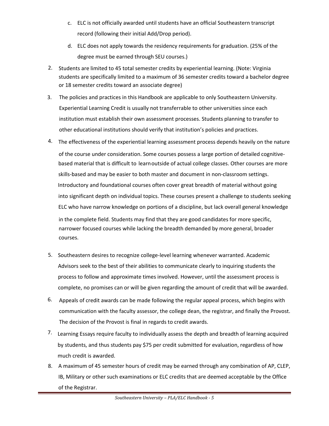- c. ELC is not officially awarded until students have an official Southeastern transcript record (following their initial Add/Drop period).
- d. ELC does not apply towards the residency requirements for graduation. (25% of the degree must be earned through SEU courses.)
- 2. Students are limited to 45 total semester credits by experiential learning. (Note: Virginia students are specifically limited to a maximum of 36 semester credits toward a bachelor degree or 18 semester credits toward an associate degree)
- 3. The policies and practices in this Handbook are applicable to only Southeastern University. Experiential Learning Credit is usually not transferrable to other universities since each institution must establish their own assessment processes. Students planning to transfer to other educational institutions should verify that institution's policies and practices.
- 4. The effectiveness of the experiential learning assessment process depends heavily on the nature of the course under consideration. Some courses possess a large portion of detailed cognitivebased material that is difficult to learn outside of actual college classes. Other courses are more skills-based and may be easier to both master and document in non-classroom settings. Introductory and foundational courses often cover great breadth of material without going into significant depth on individual topics. These courses present a challenge to students seeking ELC who have narrow knowledge on portions of a discipline, but lack overall general knowledge in the complete field. Students may find that they are good candidates for more specific, narrower focused courses while lacking the breadth demanded by more general, broader courses.
- 5. Southeastern desires to recognize college-level learning whenever warranted. Academic Advisors seek to the best of their abilities to communicate clearly to inquiring students the process to follow and approximate times involved. However, until the assessment process is complete, no promises can or will be given regarding the amount of credit that will be awarded.
- 6. Appeals of credit awards can be made following the regular appeal process, which begins with communication with the faculty assessor, the college dean, the registrar, and finally the Provost. The decision of the Provost is final in regards to credit awards.
- 7. Learning Essays require faculty to individually assess the depth and breadth of learning acquired by students, and thus students pay \$75 per credit submitted for evaluation, regardless of how much credit is awarded.
- 8. A maximum of 45 semester hours of credit may be earned through any combination of AP, CLEP, IB, Military or other such examinations or ELC credits that are deemed acceptable by the Office of the Registrar.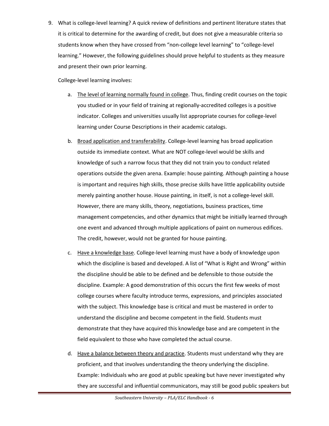9. What is college-level learning? A quick review of definitions and pertinent literature states that it is critical to determine for the awarding of credit, but does not give a measurable criteria so students know when they have crossed from "non-college level learning" to "college-level learning." However, the following guidelines should prove helpful to students as they measure and present their own prior learning.

College-level learning involves:

- a. The level of learning normally found in college. Thus, finding credit courses on the topic you studied or in your field of training at regionally-accredited colleges is a positive indicator. Colleges and universities usually list appropriate courses for college-level learning under Course Descriptions in their academic catalogs.
- b. Broad application and transferability. College-level learning has broad application outside its immediate context. What are NOT college-level would be skills and knowledge of such a narrow focus that they did not train you to conduct related operations outside the given arena. Example: house painting. Although painting a house is important and requires high skills, those precise skills have little applicability outside merely painting another house. House painting, in itself, is not a college-level skill. However, there are many skills, theory, negotiations, business practices, time management competencies, and other dynamics that might be initially learned through one event and advanced through multiple applications of paint on numerous edifices. The credit, however, would not be granted for house painting.
- c. Have a knowledge base. College-level learning must have a body of knowledge upon which the discipline is based and developed. A list of "What is Right and Wrong" within the discipline should be able to be defined and be defensible to those outside the discipline. Example: A good demonstration of this occurs the first few weeks of most college courses where faculty introduce terms, expressions, and principles associated with the subject. This knowledge base is critical and must be mastered in order to understand the discipline and become competent in the field. Students must demonstrate that they have acquired this knowledge base and are competent in the field equivalent to those who have completed the actual course.
- d. Have a balance between theory and practice. Students must understand why they are proficient, and that involves understanding the theory underlying the discipline. Example: Individuals who are good at public speaking but have never investigated why they are successful and influential communicators, may still be good public speakers but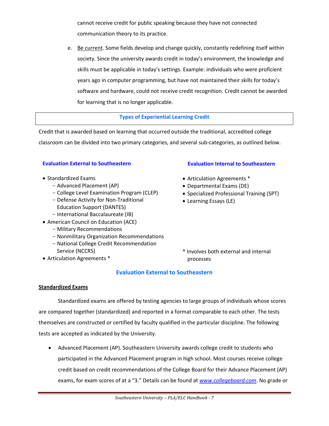cannot receive credit for public speaking because they have not connected communication theory to its practice.

e. Be current. Some fields develop and change quickly, constantly redefining itself within society. Since the university awards credit in today's environment, the knowledge and skills must be applicable in today's settings. Example: individuals who were proficient years ago in computer programming, but have not maintained their skills for today's software and hardware, could not receive credit recognition. Credit cannot be awarded for learning that is no longer applicable.

#### **Types of Experiential Learning Credit**

Credit that is awarded based on learning that occurred outside the traditional, accredited college classroom can be divided into two primary categories, and several sub-categories, as outlined below.

#### **Evaluation External to Southeastern**

- Standardized Exams
	- Advanced Placement (AP)
	- College Level Examination Program (CLEP)
	- Defense Activity for Non-Traditional Education Support (DANTES)
	- International Baccalaureate (IB)
- American Council on Education (ACE)
	- Military Recommendations
	- Nonmilitary Organization Recommendations
	- Service (NCCRS) - National College Credit Recommendation
- Articulation Agreements \*

#### **Evaluation Internal to Southeastern**

- Articulation Agreements \*
- Departmental Exams (DE)
- Specialized Professional Training (SPT)
- Learning Essays (LE)

\* Involves both external and internal processes

#### **Evaluation External to Southeastern**

#### **Standardized Exams**

Standardized exams are offered by testing agencies to large groups of individuals whose scores are compared together (standardized) and reported in a format comparable to each other. The tests themselves are constructed or certified by faculty qualified in the particular discipline. The following tests are accepted as indicated by the University.

 Advanced Placement (AP). Southeastern University awards college credit to students who participated in the Advanced Placement program in high school. Most courses receive college credit based on credit recommendations of the College Board for their Advance Placement (AP) exams, for exam scores of at a "3." Details can be found at *[www.collegeboard.com](http://www.collegeboard.com/)*. No grade or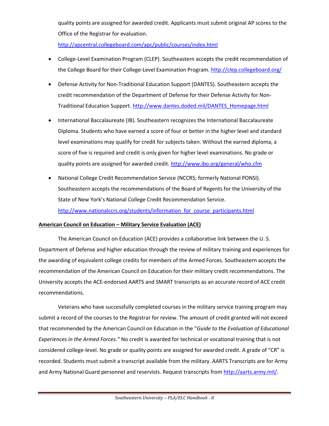quality points are assigned for awarded credit. Applicants must submit original AP scores to the Office of the Registrar for evaluation.

<http://apcentral.collegeboard.com/apc/public/courses/index.html>

- College-Level Examination Program (CLEP). Southeastern accepts the credit recommendation of the College Board for their College-Level Examination Program. <http://clep.collegeboard.org/>
- Defense Activity for Non-Traditional Education Support (DANTES). Southeastern accepts the credit recommendation of the Department of Defense for their Defense Activity for Non-Traditional Education Support. [http://www.dantes.doded.mil/DANTES\\_Homepage.html](http://www.dantes.doded.mil/DANTES_Homepage.html)
- International Baccalaureate (IB). Southeastern recognizes the International Baccalaureate Diploma. Students who have earned a score of four or better in the higher level and standard level examinations may qualify for credit for subjects taken. Without the earned diploma, a score of five is required and credit is only given for higher level examinations. No grade or quality points are assigned for awarded credit.<http://www.ibo.org/general/who.cfm>
- National College Credit Recommendation Service (NCCRS; formerly National PONSI). Southeastern accepts the recommendations of the Board of Regents for the University of the State of New York's National College Credit Recommendation Service. http://www.nationalccrs.org/students/information for course participants.html

#### **American Council on Education – Military Service Evaluation (ACE)**

The American Council on Education (ACE) provides a collaborative link between the U. S. Department of Defense and higher education through the review of military training and experiences for the awarding of equivalent college credits for members of the Armed Forces. Southeastern accepts the recommendation of the American Council on Education for their military credit recommendations. The University accepts the ACE-endorsed AARTS and SMART transcripts as an accurate record of ACE credit recommendations.

Veterans who have successfully completed courses in the military service training program may submit a record of the courses to the Registrar for review. The amount of credit granted will not exceed that recommended by the American Council on Education in the "*Guide to the Evaluation of Educational Experiences in the Armed Forces."* No credit is awarded for technical or vocational training that is not considered college-level. No grade or quality points are assigned for awarded credit. A grade of "CR" is recorded. Students must submit a transcript available from the military. AARTS Transcripts are for Army and Army National Guard personnel and reservists. Request transcripts from [http://aarts.army.mil/.](http://aarts.army.mil/)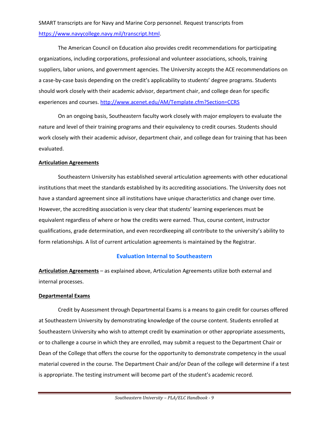## SMART transcripts are for Navy and Marine Corp personnel. Request transcripts from [https://www.navycollege.navy.mil/transcript.html.](https://www.navycollege.navy.mil/transcript.html)

The American Council on Education also provides credit recommendations for participating organizations, including corporations, professional and volunteer associations, schools, training suppliers, labor unions, and government agencies. The University accepts the ACE recommendations on a case-by-case basis depending on the credit's applicability to students' degree programs. Students should work closely with their academic advisor, department chair, and college dean for specific experiences and courses[. http://www.acenet.edu/AM/Template.cfm?Section=CCRS](http://www.acenet.edu/AM/Template.cfm?Section=CCRS)

On an ongoing basis, Southeastern faculty work closely with major employers to evaluate the nature and level of their training programs and their equivalency to credit courses. Students should work closely with their academic advisor, department chair, and college dean for training that has been evaluated.

#### **Articulation Agreements**

Southeastern University has established several articulation agreements with other educational institutions that meet the standards established by its accrediting associations. The University does not have a standard agreement since all institutions have unique characteristics and change over time. However, the accrediting association is very clear that students' learning experiences must be equivalent regardless of where or how the credits were earned. Thus, course content, instructor qualifications, grade determination, and even recordkeeping all contribute to the university's ability to form relationships. A list of current articulation agreements is maintained by the Registrar.

#### **Evaluation Internal to Southeastern**

**Articulation Agreements** – as explained above, Articulation Agreements utilize both external and internal processes.

#### **Departmental Exams**

Credit by Assessment through Departmental Exams is a means to gain credit for courses offered at Southeastern University by demonstrating knowledge of the course content. Students enrolled at Southeastern University who wish to attempt credit by examination or other appropriate assessments, or to challenge a course in which they are enrolled, may submit a request to the Department Chair or Dean of the College that offers the course for the opportunity to demonstrate competency in the usual material covered in the course. The Department Chair and/or Dean of the college will determine if a test is appropriate. The testing instrument will become part of the student's academic record.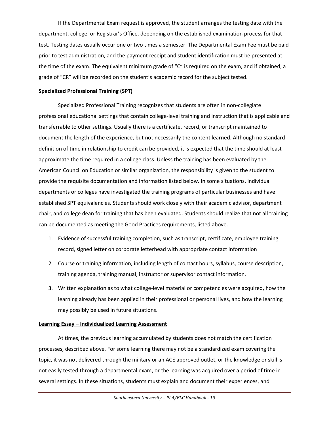If the Departmental Exam request is approved, the student arranges the testing date with the department, college, or Registrar's Office, depending on the established examination process for that test. Testing dates usually occur one or two times a semester. The Departmental Exam Fee must be paid prior to test administration, and the payment receipt and student identification must be presented at the time of the exam. The equivalent minimum grade of "C" is required on the exam, and if obtained, a grade of "CR" will be recorded on the student's academic record for the subject tested.

#### **Specialized Professional Training (SPT)**

Specialized Professional Training recognizes that students are often in non-collegiate professional educational settings that contain college-level training and instruction that is applicable and transferrable to other settings. Usually there is a certificate, record, or transcript maintained to document the length of the experience, but not necessarily the content learned. Although no standard definition of time in relationship to credit can be provided, it is expected that the time should at least approximate the time required in a college class. Unless the training has been evaluated by the American Council on Education or similar organization, the responsibility is given to the student to provide the requisite documentation and information listed below. In some situations, individual departments or colleges have investigated the training programs of particular businesses and have established SPT equivalencies. Students should work closely with their academic advisor, department chair, and college dean for training that has been evaluated. Students should realize that not all training can be documented as meeting the Good Practices requirements, listed above.

- 1. Evidence of successful training completion, such as transcript, certificate, employee training record, signed letter on corporate letterhead with appropriate contact information
- 2. Course or training information, including length of contact hours, syllabus, course description, training agenda, training manual, instructor or supervisor contact information.
- 3. Written explanation as to what college-level material or competencies were acquired, how the learning already has been applied in their professional or personal lives, and how the learning may possibly be used in future situations.

#### **Learning Essay – Individualized Learning Assessment**

At times, the previous learning accumulated by students does not match the certification processes, described above. For some learning there may not be a standardized exam covering the topic, it was not delivered through the military or an ACE approved outlet, or the knowledge or skill is not easily tested through a departmental exam, or the learning was acquired over a period of time in several settings. In these situations, students must explain and document their experiences, and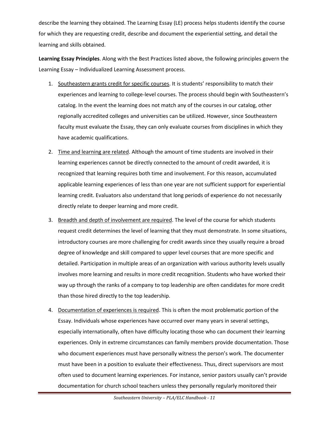describe the learning they obtained. The Learning Essay (LE) process helps students identify the course for which they are requesting credit, describe and document the experiential setting, and detail the learning and skills obtained.

**Learning Essay Principles**. Along with the Best Practices listed above, the following principles govern the Learning Essay – Individualized Learning Assessment process.

- 1. Southeastern grants credit for specific courses. It is students' responsibility to match their experiences and learning to college-level courses. The process should begin with Southeastern's catalog. In the event the learning does not match any of the courses in our catalog, other regionally accredited colleges and universities can be utilized. However, since Southeastern faculty must evaluate the Essay, they can only evaluate courses from disciplines in which they have academic qualifications.
- 2. Time and learning are related. Although the amount of time students are involved in their learning experiences cannot be directly connected to the amount of credit awarded, it is recognized that learning requires both time and involvement. For this reason, accumulated applicable learning experiences of less than one year are not sufficient support for experiential learning credit. Evaluators also understand that long periods of experience do not necessarily directly relate to deeper learning and more credit.
- 3. Breadth and depth of involvement are required. The level of the course for which students request credit determines the level of learning that they must demonstrate. In some situations, introductory courses are more challenging for credit awards since they usually require a broad degree of knowledge and skill compared to upper level courses that are more specific and detailed. Participation in multiple areas of an organization with various authority levels usually involves more learning and results in more credit recognition. Students who have worked their way up through the ranks of a company to top leadership are often candidates for more credit than those hired directly to the top leadership.
- 4. Documentation of experiences is required. This is often the most problematic portion of the Essay. Individuals whose experiences have occurred over many years in several settings, especially internationally, often have difficulty locating those who can document their learning experiences. Only in extreme circumstances can family members provide documentation. Those who document experiences must have personally witness the person's work. The documenter must have been in a position to evaluate their effectiveness. Thus, direct supervisors are most often used to document learning experiences. For instance, senior pastors usually can't provide documentation for church school teachers unless they personally regularly monitored their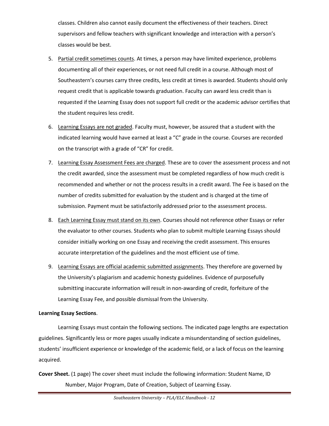classes. Children also cannot easily document the effectiveness of their teachers. Direct supervisors and fellow teachers with significant knowledge and interaction with a person's classes would be best.

- 5. Partial credit sometimes counts. At times, a person may have limited experience, problems documenting all of their experiences, or not need full credit in a course. Although most of Southeastern's courses carry three credits, less credit at times is awarded. Students should only request credit that is applicable towards graduation. Faculty can award less credit than is requested if the Learning Essay does not support full credit or the academic advisor certifies that the student requires less credit.
- 6. Learning Essays are not graded. Faculty must, however, be assured that a student with the indicated learning would have earned at least a "C" grade in the course. Courses are recorded on the transcript with a grade of "CR" for credit.
- 7. Learning Essay Assessment Fees are charged. These are to cover the assessment process and not the credit awarded, since the assessment must be completed regardless of how much credit is recommended and whether or not the process results in a credit award. The Fee is based on the number of credits submitted for evaluation by the student and is charged at the time of submission. Payment must be satisfactorily addressed prior to the assessment process.
- 8. Each Learning Essay must stand on its own. Courses should not reference other Essays or refer the evaluator to other courses. Students who plan to submit multiple Learning Essays should consider initially working on one Essay and receiving the credit assessment. This ensures accurate interpretation of the guidelines and the most efficient use of time.
- 9. Learning Essays are official academic submitted assignments. They therefore are governed by the University's plagiarism and academic honesty guidelines. Evidence of purposefully submitting inaccurate information will result in non-awarding of credit, forfeiture of the Learning Essay Fee, and possible dismissal from the University.

#### **Learning Essay Sections**.

Learning Essays must contain the following sections. The indicated page lengths are expectation guidelines. Significantly less or more pages usually indicate a misunderstanding of section guidelines, students' insufficient experience or knowledge of the academic field, or a lack of focus on the learning acquired.

**Cover Sheet.** (1 page) The cover sheet must include the following information: Student Name, ID Number, Major Program, Date of Creation, Subject of Learning Essay.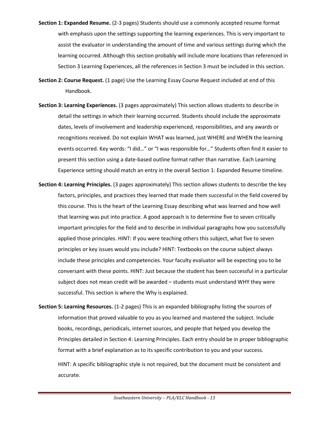- **Section 1: Expanded Resume.** (2-3 pages) Students should use a commonly accepted resume format with emphasis upon the settings supporting the learning experiences. This is very important to assist the evaluator in understanding the amount of time and various settings during which the learning occurred. Although this section probably will include more locations than referenced in Section 3 Learning Experiences, all the references in Section 3 must be included in this section.
- **Section 2: Course Request.** (1 page) Use the Learning Essay Course Request included at end of this Handbook.
- **Section 3: Learning Experiences.** (3 pages approximately) This section allows students to describe in detail the settings in which their learning occurred. Students should include the approximate dates, levels of involvement and leadership experienced, responsibilities, and any awards or recognitions received. Do not explain WHAT was learned, just WHERE and WHEN the learning events occurred. Key words: "I did…" or "I was responsible for…" Students often find it easier to present this section using a date-based outline format rather than narrative. Each Learning Experience setting should match an entry in the overall Section 1: Expanded Resume timeline.
- **Section 4: Learning Principles.** (3 pages approximately) This section allows students to describe the key factors, principles, and practices they learned that made them successful in the field covered by this course. This is the heart of the Learning Essay describing what was learned and how well that learning was put into practice. A good approach is to determine five to seven critically important principles for the field and to describe in individual paragraphs how you successfully applied those principles. HINT: If you were teaching others this subject, what five to seven principles or key issues would you include? HINT: Textbooks on the course subject always include these principles and competencies. Your faculty evaluator will be expecting you to be conversant with these points. HINT: Just because the student has been successful in a particular subject does not mean credit will be awarded – students must understand WHY they were successful. This section is where the Why is explained.
- **Section 5: Learning Resources.** (1-2 pages) This is an expanded bibliography listing the sources of information that proved valuable to you as you learned and mastered the subject. Include books, recordings, periodicals, internet sources, and people that helped you develop the Principles detailed in Section 4: Learning Principles. Each entry should be in proper bibliographic format with a brief explanation as to its specific contribution to you and your success. HINT: A specific bibliographic style is not required, but the document must be consistent and accurate.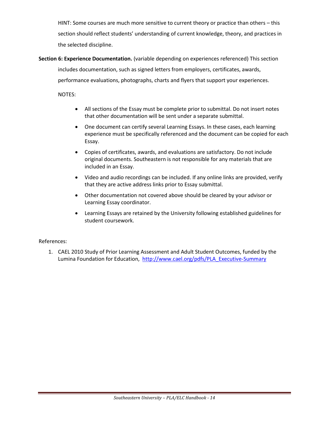HINT: Some courses are much more sensitive to current theory or practice than others – this section should reflect students' understanding of current knowledge, theory, and practices in the selected discipline.

**Section 6: Experience Documentation.** (variable depending on experiences referenced) This section includes documentation, such as signed letters from employers, certificates, awards, performance evaluations, photographs, charts and flyers that support your experiences.

NOTES:

- All sections of the Essay must be complete prior to submittal. Do not insert notes that other documentation will be sent under a separate submittal.
- One document can certify several Learning Essays. In these cases, each learning experience must be specifically referenced and the document can be copied for each Essay.
- Copies of certificates, awards, and evaluations are satisfactory. Do not include original documents. Southeastern is not responsible for any materials that are included in an Essay.
- Video and audio recordings can be included. If any online links are provided, verify that they are active address links prior to Essay submittal.
- Other documentation not covered above should be cleared by your advisor or Learning Essay coordinator.
- Learning Essays are retained by the University following established guidelines for student coursework.

#### References:

1. CAEL 2010 Study of Prior Learning Assessment and Adult Student Outcomes, funded by the Lumina Foundation for Education, [http://www.cael.org/pdfs/PLA\\_Executive-Summary](http://www.cael.org/pdfs/PLA_Executive-Summary)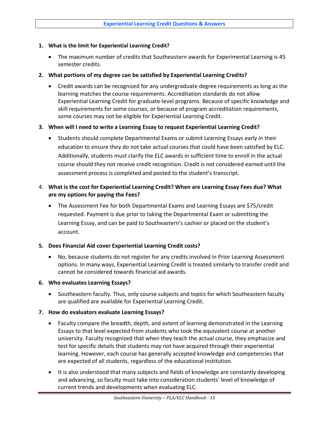#### **1. What is the limit for Experiential Learning Credit?**

- The maximum number of credits that Southeastern awards for Experimental Learning is 45 semester credits.
- **2. What portions of my degree can be satisfied by Experiential Learning Credits?**
	- Credit awards can be recognized for any undergraduate degree requirements as long as the learning matches the course requirements. Accreditation standards do not allow Experiential Learning Credit for graduate-level programs. Because of specific knowledge and skill requirements for some courses, or because of program accreditation requirements, some courses may not be eligible for Experiential Learning Credit.

#### **3. When will I need to write a Learning Essay to request Experiential Learning Credit?**

• Students should complete Departmental Exams or submit Learning Essays early in their education to ensure they do not take actual courses that could have been satisfied by ELC. Additionally, students must clarify the ELC awards in sufficient time to enroll in the actual course should they not receive credit recognition. Credit is not considered earned until the assessment process is completed and posted to the student's transcript.

#### 4. **What is the cost for Experiential Learning Credit? When are Learning Essay Fees due? What are my options for paying the Fees?**

• The Assessment Fee for both Departmental Exams and Learning Essays are \$75/credit requested. Payment is due prior to taking the Departmental Exam or submitting the Learning Essay, and can be paid to Southeastern's cashier or placed on the student's account.

#### **5. Does Financial Aid cover Experiential Learning Credit costs?**

 No, because students do not register for any credits involved in Prior Learning Assessment options. In many ways, Experiential Learning Credit is treated similarly to transfer credit and cannot be considered towards financial aid awards.

#### **6. Who evaluates Learning Essays?**

• Southeastern faculty. Thus, only course subjects and topics for which Southeastern faculty are qualified are available for Experiential Learning Credit.

#### **7. How do evaluators evaluate Learning Essays?**

- Faculty compare the breadth, depth, and extent of learning demonstrated in the Learning Essays to that level expected from students who took the equivalent course at another university. Faculty recognized that when they teach the actual course, they emphasize and test for specific details that students may not have acquired through their experiential learning. However, each course has generally accepted knowledge and competencies that are expected of all students, regardless of the educational institution.
- It is also understood that many subjects and fields of knowledge are constantly developing and advancing, so faculty must take into consideration students' level of knowledge of current trends and developments when evaluating ELC.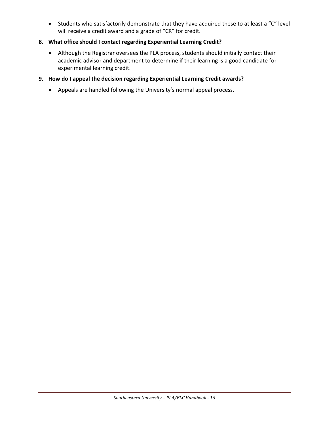• Students who satisfactorily demonstrate that they have acquired these to at least a "C" level will receive a credit award and a grade of "CR" for credit.

#### **8. What office should I contact regarding Experiential Learning Credit?**

 Although the Registrar oversees the PLA process, students should initially contact their academic advisor and department to determine if their learning is a good candidate for experimental learning credit.

#### **9. How do I appeal the decision regarding Experiential Learning Credit awards?**

Appeals are handled following the University's normal appeal process.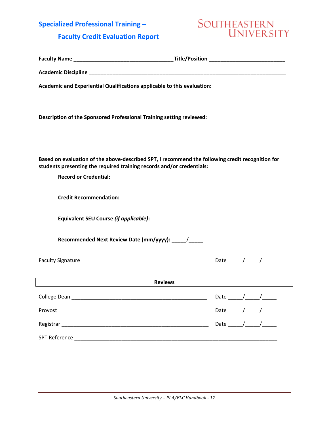## **Specialized Professional Training –**

## **Faculty Credit Evaluation Report**

# SOUTHEASTERN<br>UNIVERSITY

| Academic and Experiential Qualifications applicable to this evaluation:                                                                                                   |                                       |  |
|---------------------------------------------------------------------------------------------------------------------------------------------------------------------------|---------------------------------------|--|
|                                                                                                                                                                           |                                       |  |
| Description of the Sponsored Professional Training setting reviewed:                                                                                                      |                                       |  |
|                                                                                                                                                                           |                                       |  |
|                                                                                                                                                                           |                                       |  |
| Based on evaluation of the above-described SPT, I recommend the following credit recognition for<br>students presenting the required training records and/or credentials: |                                       |  |
| <b>Record or Credential:</b>                                                                                                                                              |                                       |  |
| <b>Credit Recommendation:</b>                                                                                                                                             |                                       |  |
| <b>Equivalent SEU Course (if applicable):</b>                                                                                                                             |                                       |  |
|                                                                                                                                                                           |                                       |  |
|                                                                                                                                                                           | Date $\frac{1}{\sqrt{1-\frac{1}{2}}}$ |  |
|                                                                                                                                                                           |                                       |  |
| <b>Reviews</b>                                                                                                                                                            |                                       |  |
|                                                                                                                                                                           | Date $\_\_\_\_\_\_\_\_\_\$            |  |
|                                                                                                                                                                           | Date ______/ ______/ ________         |  |
|                                                                                                                                                                           | Date $\frac{1}{\sqrt{1-\frac{1}{2}}}$ |  |
|                                                                                                                                                                           |                                       |  |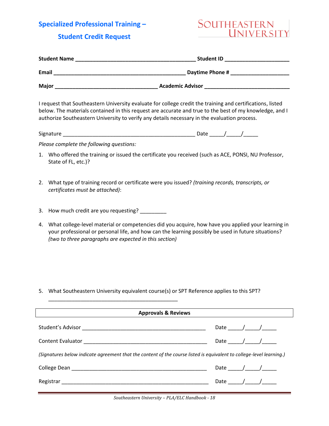**Specialized Professional Training –**

#### **Student Credit Request**

# SOUTHEASTERN **UNIVERSITY**

| <b>Student Name</b> | <b>Student ID</b>       |
|---------------------|-------------------------|
| <b>Email</b>        | Daytime Phone #         |
| <b>Major</b>        | <b>Academic Advisor</b> |

I request that Southeastern University evaluate for college credit the training and certifications, listed below. The materials contained in this request are accurate and true to the best of my knowledge, and I authorize Southeastern University to verify any details necessary in the evaluation process.

| $\sim$<br>----<br>אוכ |  |  |
|-----------------------|--|--|
|-----------------------|--|--|

*Please complete the following questions:*

- 1. Who offered the training or issued the certificate you received (such as ACE, PONSI, NU Professor, State of FL, etc.)?
- 2. What type of training record or certificate were you issued? *(training records, transcripts, or certificates must be attached)*:
- 3. How much credit are you requesting?

\_\_\_\_\_\_\_\_\_\_\_\_\_\_\_\_\_\_\_\_\_\_\_\_\_\_\_\_\_\_\_\_\_\_\_\_\_\_\_\_\_\_\_\_

4. What college-level material or competencies did you acquire, how have you applied your learning in your professional or personal life, and how can the learning possibly be used in future situations? *(two to three paragraphs are expected in this section)*

5. What Southeastern University equivalent course(s) or SPT Reference applies to this SPT?

| <b>Approvals &amp; Reviews</b>                                                                                       |              |  |  |
|----------------------------------------------------------------------------------------------------------------------|--------------|--|--|
|                                                                                                                      | Date $/$ /   |  |  |
|                                                                                                                      | Date $/$ $/$ |  |  |
| (Signatures below indicate agreement that the content of the course listed is equivalent to college-level learning.) |              |  |  |
|                                                                                                                      |              |  |  |
|                                                                                                                      | Date $/$ /   |  |  |

*Southeastern University – PLA/ELC Handbook - 18*